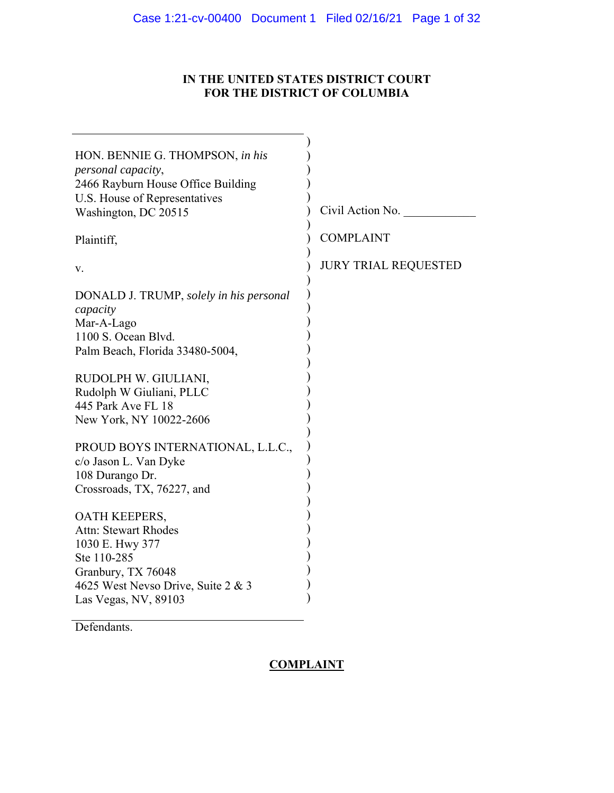# **IN THE UNITED STATES DISTRICT COURT FOR THE DISTRICT OF COLUMBIA**

| HON. BENNIE G. THOMPSON, in his<br>personal capacity,<br>2466 Rayburn House Office Building<br>U.S. House of Representatives<br>Washington, DC 20515<br>Plaintiff,                                                               | Civil Action No.<br><b>COMPLAINT</b> |
|----------------------------------------------------------------------------------------------------------------------------------------------------------------------------------------------------------------------------------|--------------------------------------|
| V.                                                                                                                                                                                                                               | <b>JURY TRIAL REQUESTED</b>          |
| DONALD J. TRUMP, solely in his personal<br>capacity<br>Mar-A-Lago<br>1100 S. Ocean Blvd.<br>Palm Beach, Florida 33480-5004,<br>RUDOLPH W. GIULIANI,<br>Rudolph W Giuliani, PLLC<br>445 Park Ave FL 18<br>New York, NY 10022-2606 |                                      |
| PROUD BOYS INTERNATIONAL, L.L.C.,<br>c/o Jason L. Van Dyke<br>108 Durango Dr.<br>Crossroads, TX, 76227, and                                                                                                                      |                                      |
| OATH KEEPERS,<br><b>Attn: Stewart Rhodes</b><br>1030 E. Hwy 377<br>Ste 110-285<br>Granbury, TX 76048<br>4625 West Nevso Drive, Suite 2 & 3<br>Las Vegas, NV, 89103                                                               |                                      |

Defendants.

# **COMPLAINT**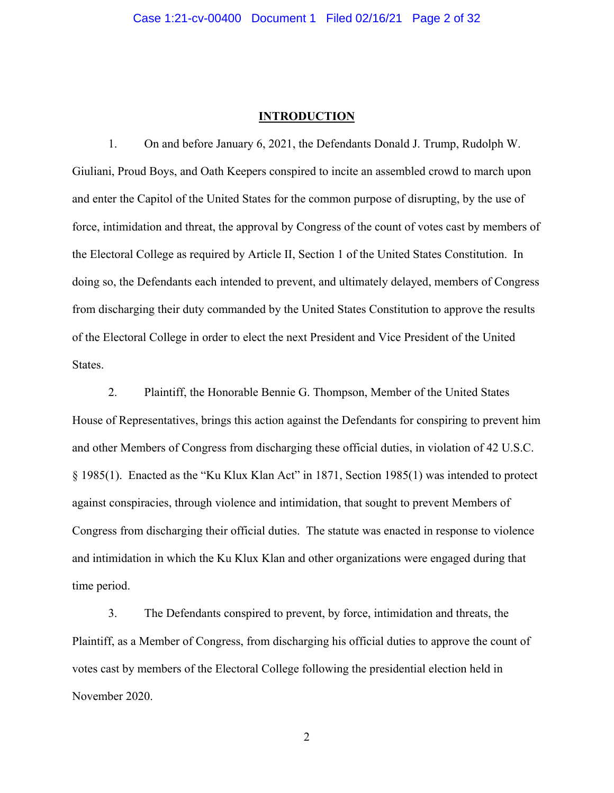#### **INTRODUCTION**

1. On and before January 6, 2021, the Defendants Donald J. Trump, Rudolph W. Giuliani, Proud Boys, and Oath Keepers conspired to incite an assembled crowd to march upon and enter the Capitol of the United States for the common purpose of disrupting, by the use of force, intimidation and threat, the approval by Congress of the count of votes cast by members of the Electoral College as required by Article II, Section 1 of the United States Constitution. In doing so, the Defendants each intended to prevent, and ultimately delayed, members of Congress from discharging their duty commanded by the United States Constitution to approve the results of the Electoral College in order to elect the next President and Vice President of the United States.

2. Plaintiff, the Honorable Bennie G. Thompson, Member of the United States House of Representatives, brings this action against the Defendants for conspiring to prevent him and other Members of Congress from discharging these official duties, in violation of 42 U.S.C. § 1985(1). Enacted as the "Ku Klux Klan Act" in 1871, Section 1985(1) was intended to protect against conspiracies, through violence and intimidation, that sought to prevent Members of Congress from discharging their official duties. The statute was enacted in response to violence and intimidation in which the Ku Klux Klan and other organizations were engaged during that time period.

3. The Defendants conspired to prevent, by force, intimidation and threats, the Plaintiff, as a Member of Congress, from discharging his official duties to approve the count of votes cast by members of the Electoral College following the presidential election held in November 2020.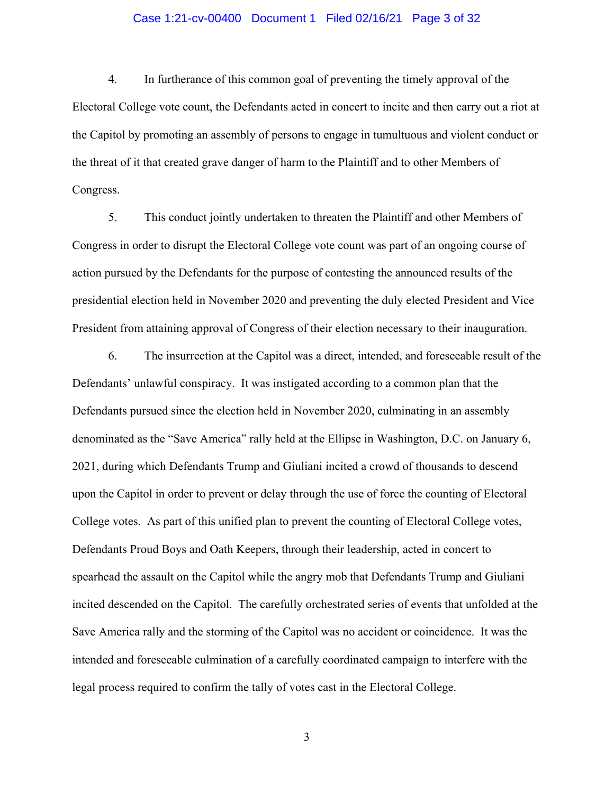## Case 1:21-cv-00400 Document 1 Filed 02/16/21 Page 3 of 32

4. In furtherance of this common goal of preventing the timely approval of the Electoral College vote count, the Defendants acted in concert to incite and then carry out a riot at the Capitol by promoting an assembly of persons to engage in tumultuous and violent conduct or the threat of it that created grave danger of harm to the Plaintiff and to other Members of Congress.

5. This conduct jointly undertaken to threaten the Plaintiff and other Members of Congress in order to disrupt the Electoral College vote count was part of an ongoing course of action pursued by the Defendants for the purpose of contesting the announced results of the presidential election held in November 2020 and preventing the duly elected President and Vice President from attaining approval of Congress of their election necessary to their inauguration.

6. The insurrection at the Capitol was a direct, intended, and foreseeable result of the Defendants' unlawful conspiracy. It was instigated according to a common plan that the Defendants pursued since the election held in November 2020, culminating in an assembly denominated as the "Save America" rally held at the Ellipse in Washington, D.C. on January 6, 2021, during which Defendants Trump and Giuliani incited a crowd of thousands to descend upon the Capitol in order to prevent or delay through the use of force the counting of Electoral College votes. As part of this unified plan to prevent the counting of Electoral College votes, Defendants Proud Boys and Oath Keepers, through their leadership, acted in concert to spearhead the assault on the Capitol while the angry mob that Defendants Trump and Giuliani incited descended on the Capitol. The carefully orchestrated series of events that unfolded at the Save America rally and the storming of the Capitol was no accident or coincidence. It was the intended and foreseeable culmination of a carefully coordinated campaign to interfere with the legal process required to confirm the tally of votes cast in the Electoral College.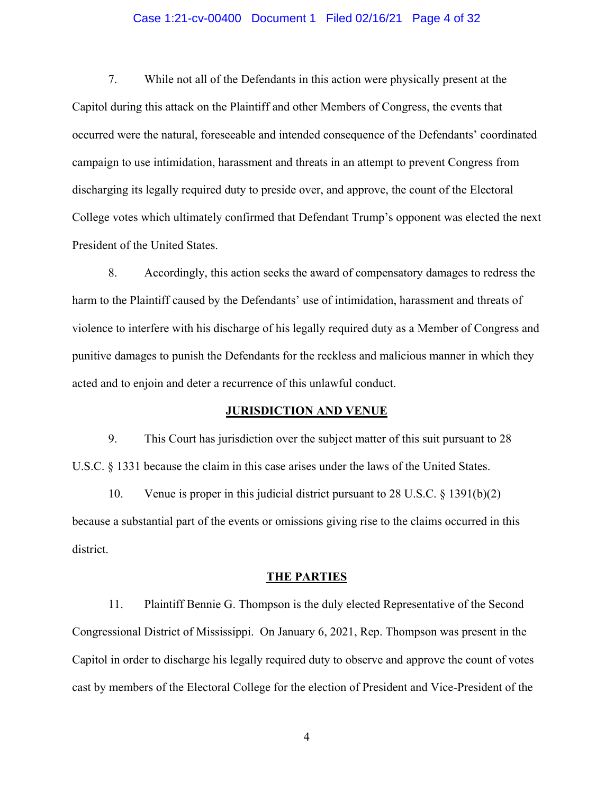## Case 1:21-cv-00400 Document 1 Filed 02/16/21 Page 4 of 32

7. While not all of the Defendants in this action were physically present at the Capitol during this attack on the Plaintiff and other Members of Congress, the events that occurred were the natural, foreseeable and intended consequence of the Defendants' coordinated campaign to use intimidation, harassment and threats in an attempt to prevent Congress from discharging its legally required duty to preside over, and approve, the count of the Electoral College votes which ultimately confirmed that Defendant Trump's opponent was elected the next President of the United States.

8. Accordingly, this action seeks the award of compensatory damages to redress the harm to the Plaintiff caused by the Defendants' use of intimidation, harassment and threats of violence to interfere with his discharge of his legally required duty as a Member of Congress and punitive damages to punish the Defendants for the reckless and malicious manner in which they acted and to enjoin and deter a recurrence of this unlawful conduct.

#### **JURISDICTION AND VENUE**

9. This Court has jurisdiction over the subject matter of this suit pursuant to 28 U.S.C. § 1331 because the claim in this case arises under the laws of the United States.

10. Venue is proper in this judicial district pursuant to 28 U.S.C. § 1391(b)(2) because a substantial part of the events or omissions giving rise to the claims occurred in this district.

#### **THE PARTIES**

11. Plaintiff Bennie G. Thompson is the duly elected Representative of the Second Congressional District of Mississippi. On January 6, 2021, Rep. Thompson was present in the Capitol in order to discharge his legally required duty to observe and approve the count of votes cast by members of the Electoral College for the election of President and Vice-President of the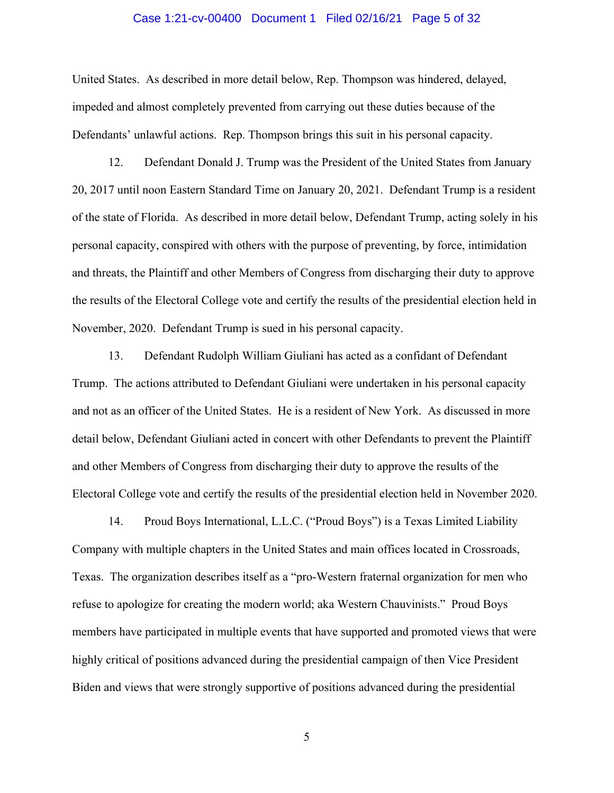#### Case 1:21-cv-00400 Document 1 Filed 02/16/21 Page 5 of 32

United States. As described in more detail below, Rep. Thompson was hindered, delayed, impeded and almost completely prevented from carrying out these duties because of the Defendants' unlawful actions. Rep. Thompson brings this suit in his personal capacity.

12. Defendant Donald J. Trump was the President of the United States from January 20, 2017 until noon Eastern Standard Time on January 20, 2021. Defendant Trump is a resident of the state of Florida. As described in more detail below, Defendant Trump, acting solely in his personal capacity, conspired with others with the purpose of preventing, by force, intimidation and threats, the Plaintiff and other Members of Congress from discharging their duty to approve the results of the Electoral College vote and certify the results of the presidential election held in November, 2020. Defendant Trump is sued in his personal capacity.

13. Defendant Rudolph William Giuliani has acted as a confidant of Defendant Trump. The actions attributed to Defendant Giuliani were undertaken in his personal capacity and not as an officer of the United States. He is a resident of New York. As discussed in more detail below, Defendant Giuliani acted in concert with other Defendants to prevent the Plaintiff and other Members of Congress from discharging their duty to approve the results of the Electoral College vote and certify the results of the presidential election held in November 2020.

14. Proud Boys International, L.L.C. ("Proud Boys") is a Texas Limited Liability Company with multiple chapters in the United States and main offices located in Crossroads, Texas. The organization describes itself as a "pro-Western fraternal organization for men who refuse to apologize for creating the modern world; aka Western Chauvinists." Proud Boys members have participated in multiple events that have supported and promoted views that were highly critical of positions advanced during the presidential campaign of then Vice President Biden and views that were strongly supportive of positions advanced during the presidential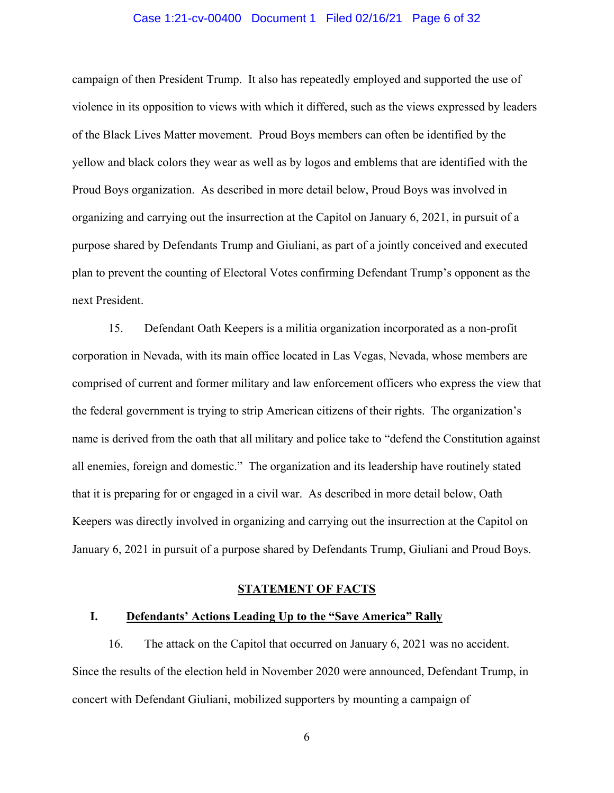#### Case 1:21-cv-00400 Document 1 Filed 02/16/21 Page 6 of 32

campaign of then President Trump. It also has repeatedly employed and supported the use of violence in its opposition to views with which it differed, such as the views expressed by leaders of the Black Lives Matter movement. Proud Boys members can often be identified by the yellow and black colors they wear as well as by logos and emblems that are identified with the Proud Boys organization. As described in more detail below, Proud Boys was involved in organizing and carrying out the insurrection at the Capitol on January 6, 2021, in pursuit of a purpose shared by Defendants Trump and Giuliani, as part of a jointly conceived and executed plan to prevent the counting of Electoral Votes confirming Defendant Trump's opponent as the next President.

15. Defendant Oath Keepers is a militia organization incorporated as a non-profit corporation in Nevada, with its main office located in Las Vegas, Nevada, whose members are comprised of current and former military and law enforcement officers who express the view that the federal government is trying to strip American citizens of their rights. The organization's name is derived from the oath that all military and police take to "defend the Constitution against all enemies, foreign and domestic." The organization and its leadership have routinely stated that it is preparing for or engaged in a civil war. As described in more detail below, Oath Keepers was directly involved in organizing and carrying out the insurrection at the Capitol on January 6, 2021 in pursuit of a purpose shared by Defendants Trump, Giuliani and Proud Boys.

## **STATEMENT OF FACTS**

## **I. Defendants' Actions Leading Up to the "Save America" Rally**

16. The attack on the Capitol that occurred on January 6, 2021 was no accident. Since the results of the election held in November 2020 were announced, Defendant Trump, in concert with Defendant Giuliani, mobilized supporters by mounting a campaign of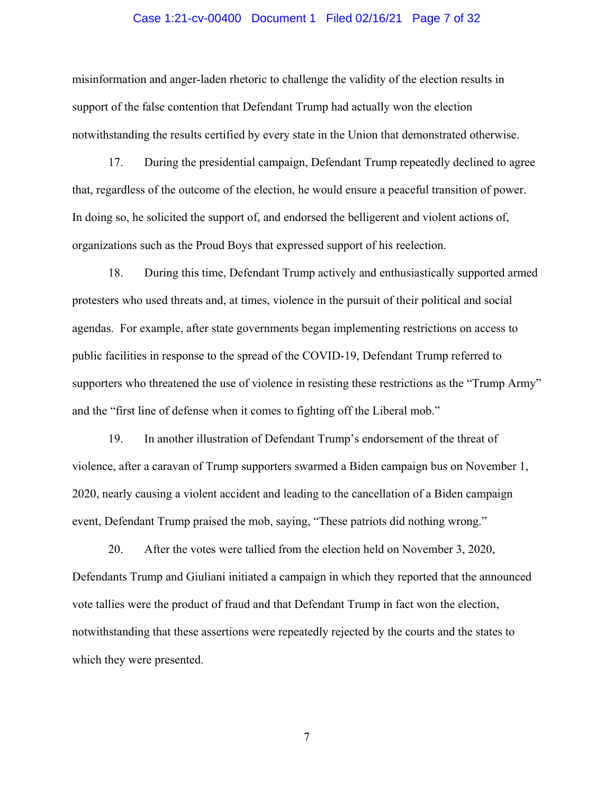#### Case 1:21-cv-00400 Document 1 Filed 02/16/21 Page 7 of 32

misinformation and anger-laden rhetoric to challenge the validity of the election results in support of the false contention that Defendant Trump had actually won the election notwithstanding the results certified by every state in the Union that demonstrated otherwise.

17. During the presidential campaign, Defendant Trump repeatedly declined to agree that, regardless of the outcome of the election, he would ensure a peaceful transition of power. In doing so, he solicited the support of, and endorsed the belligerent and violent actions of, organizations such as the Proud Boys that expressed support of his reelection.

18. During this time, Defendant Trump actively and enthusiastically supported armed protesters who used threats and, at times, violence in the pursuit of their political and social agendas. For example, after state governments began implementing restrictions on access to public facilities in response to the spread of the COVID-19, Defendant Trump referred to supporters who threatened the use of violence in resisting these restrictions as the "Trump Army" and the "first line of defense when it comes to fighting off the Liberal mob."

19. In another illustration of Defendant Trump's endorsement of the threat of violence, after a caravan of Trump supporters swarmed a Biden campaign bus on November 1, 2020, nearly causing a violent accident and leading to the cancellation of a Biden campaign event, Defendant Trump praised the mob, saying, "These patriots did nothing wrong."

20. After the votes were tallied from the election held on November 3, 2020, Defendants Trump and Giuliani initiated a campaign in which they reported that the announced vote tallies were the product of fraud and that Defendant Trump in fact won the election, notwithstanding that these assertions were repeatedly rejected by the courts and the states to which they were presented.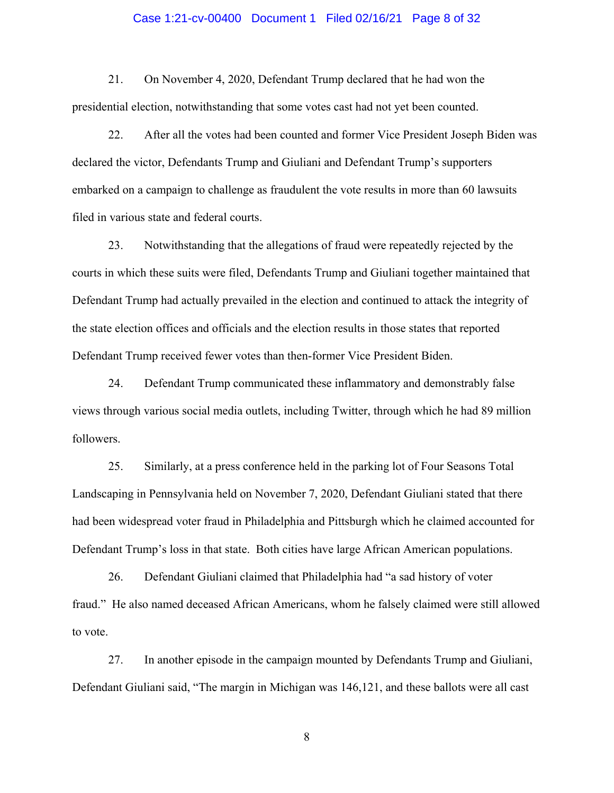#### Case 1:21-cv-00400 Document 1 Filed 02/16/21 Page 8 of 32

21. On November 4, 2020, Defendant Trump declared that he had won the presidential election, notwithstanding that some votes cast had not yet been counted.

22. After all the votes had been counted and former Vice President Joseph Biden was declared the victor, Defendants Trump and Giuliani and Defendant Trump's supporters embarked on a campaign to challenge as fraudulent the vote results in more than 60 lawsuits filed in various state and federal courts.

23. Notwithstanding that the allegations of fraud were repeatedly rejected by the courts in which these suits were filed, Defendants Trump and Giuliani together maintained that Defendant Trump had actually prevailed in the election and continued to attack the integrity of the state election offices and officials and the election results in those states that reported Defendant Trump received fewer votes than then-former Vice President Biden.

24. Defendant Trump communicated these inflammatory and demonstrably false views through various social media outlets, including Twitter, through which he had 89 million followers.

25. Similarly, at a press conference held in the parking lot of Four Seasons Total Landscaping in Pennsylvania held on November 7, 2020, Defendant Giuliani stated that there had been widespread voter fraud in Philadelphia and Pittsburgh which he claimed accounted for Defendant Trump's loss in that state. Both cities have large African American populations.

26. Defendant Giuliani claimed that Philadelphia had "a sad history of voter fraud." He also named deceased African Americans, whom he falsely claimed were still allowed to vote.

27. In another episode in the campaign mounted by Defendants Trump and Giuliani, Defendant Giuliani said, "The margin in Michigan was 146,121, and these ballots were all cast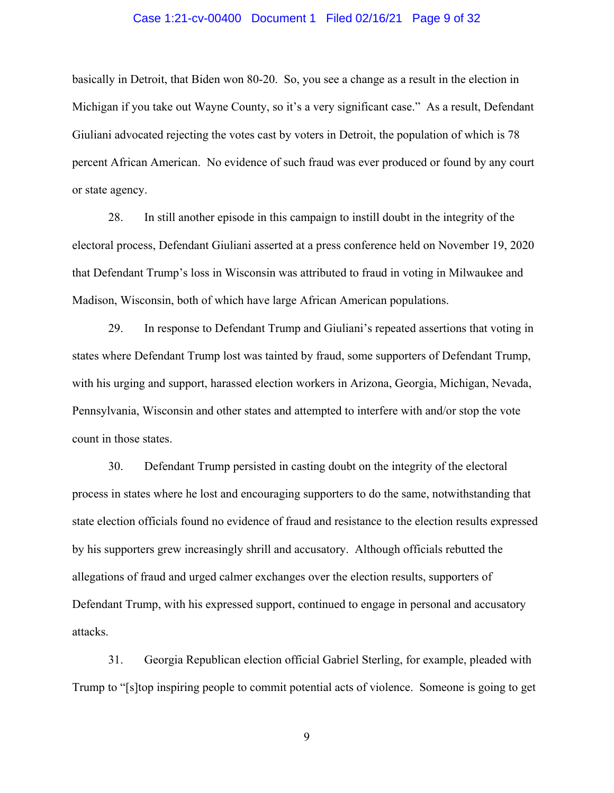#### Case 1:21-cv-00400 Document 1 Filed 02/16/21 Page 9 of 32

basically in Detroit, that Biden won 80-20. So, you see a change as a result in the election in Michigan if you take out Wayne County, so it's a very significant case." As a result, Defendant Giuliani advocated rejecting the votes cast by voters in Detroit, the population of which is 78 percent African American. No evidence of such fraud was ever produced or found by any court or state agency.

28. In still another episode in this campaign to instill doubt in the integrity of the electoral process, Defendant Giuliani asserted at a press conference held on November 19, 2020 that Defendant Trump's loss in Wisconsin was attributed to fraud in voting in Milwaukee and Madison, Wisconsin, both of which have large African American populations.

29. In response to Defendant Trump and Giuliani's repeated assertions that voting in states where Defendant Trump lost was tainted by fraud, some supporters of Defendant Trump, with his urging and support, harassed election workers in Arizona, Georgia, Michigan, Nevada, Pennsylvania, Wisconsin and other states and attempted to interfere with and/or stop the vote count in those states.

30. Defendant Trump persisted in casting doubt on the integrity of the electoral process in states where he lost and encouraging supporters to do the same, notwithstanding that state election officials found no evidence of fraud and resistance to the election results expressed by his supporters grew increasingly shrill and accusatory. Although officials rebutted the allegations of fraud and urged calmer exchanges over the election results, supporters of Defendant Trump, with his expressed support, continued to engage in personal and accusatory attacks.

31. Georgia Republican election official Gabriel Sterling, for example, pleaded with Trump to "[s]top inspiring people to commit potential acts of violence. Someone is going to get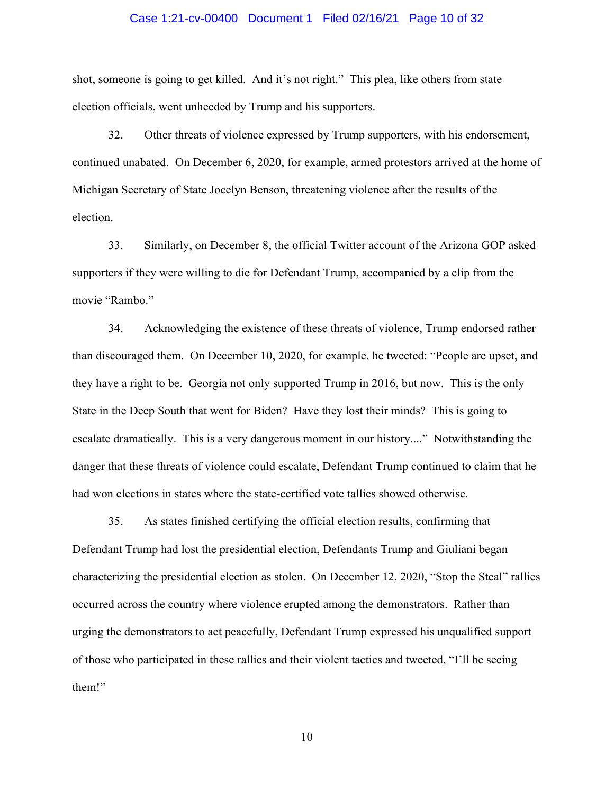#### Case 1:21-cv-00400 Document 1 Filed 02/16/21 Page 10 of 32

shot, someone is going to get killed. And it's not right." This plea, like others from state election officials, went unheeded by Trump and his supporters.

32. Other threats of violence expressed by Trump supporters, with his endorsement, continued unabated. On December 6, 2020, for example, armed protestors arrived at the home of Michigan Secretary of State Jocelyn Benson, threatening violence after the results of the election.

33. Similarly, on December 8, the official Twitter account of the Arizona GOP asked supporters if they were willing to die for Defendant Trump, accompanied by a clip from the movie "Rambo."

34. Acknowledging the existence of these threats of violence, Trump endorsed rather than discouraged them. On December 10, 2020, for example, he tweeted: "People are upset, and they have a right to be. Georgia not only supported Trump in 2016, but now. This is the only State in the Deep South that went for Biden? Have they lost their minds? This is going to escalate dramatically. This is a very dangerous moment in our history...." Notwithstanding the danger that these threats of violence could escalate, Defendant Trump continued to claim that he had won elections in states where the state-certified vote tallies showed otherwise.

35. As states finished certifying the official election results, confirming that Defendant Trump had lost the presidential election, Defendants Trump and Giuliani began characterizing the presidential election as stolen. On December 12, 2020, "Stop the Steal" rallies occurred across the country where violence erupted among the demonstrators. Rather than urging the demonstrators to act peacefully, Defendant Trump expressed his unqualified support of those who participated in these rallies and their violent tactics and tweeted, "I'll be seeing them!"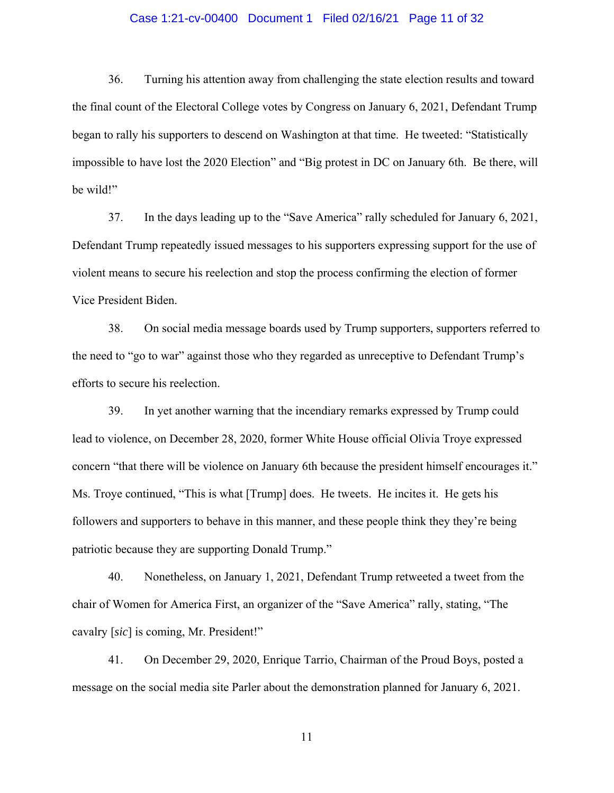## Case 1:21-cv-00400 Document 1 Filed 02/16/21 Page 11 of 32

36. Turning his attention away from challenging the state election results and toward the final count of the Electoral College votes by Congress on January 6, 2021, Defendant Trump began to rally his supporters to descend on Washington at that time. He tweeted: "Statistically impossible to have lost the 2020 Election" and "Big protest in DC on January 6th. Be there, will be wild!"

37. In the days leading up to the "Save America" rally scheduled for January 6, 2021, Defendant Trump repeatedly issued messages to his supporters expressing support for the use of violent means to secure his reelection and stop the process confirming the election of former Vice President Biden.

38. On social media message boards used by Trump supporters, supporters referred to the need to "go to war" against those who they regarded as unreceptive to Defendant Trump's efforts to secure his reelection.

39. In yet another warning that the incendiary remarks expressed by Trump could lead to violence, on December 28, 2020, former White House official Olivia Troye expressed concern "that there will be violence on January 6th because the president himself encourages it." Ms. Troye continued, "This is what [Trump] does. He tweets. He incites it. He gets his followers and supporters to behave in this manner, and these people think they they're being patriotic because they are supporting Donald Trump."

40. Nonetheless, on January 1, 2021, Defendant Trump retweeted a tweet from the chair of Women for America First, an organizer of the "Save America" rally, stating, "The cavalry [*sic*] is coming, Mr. President!"

41. On December 29, 2020, Enrique Tarrio, Chairman of the Proud Boys, posted a message on the social media site Parler about the demonstration planned for January 6, 2021.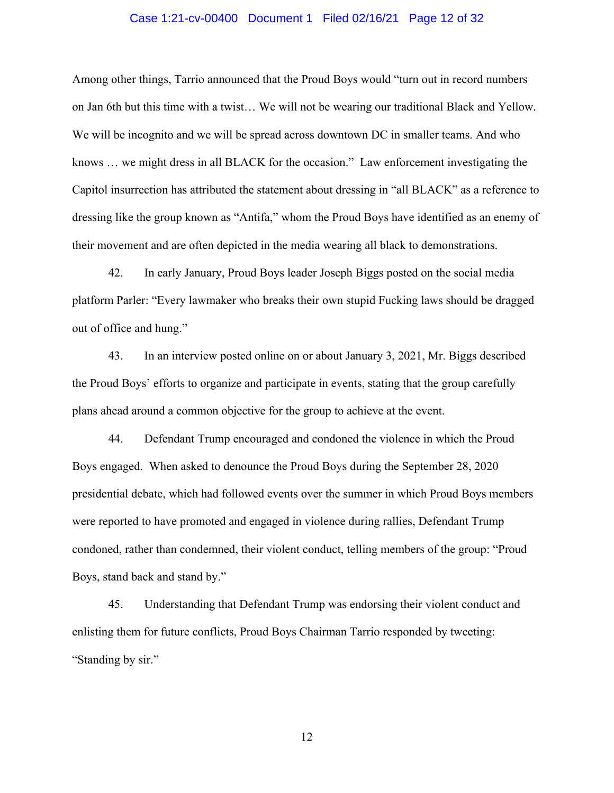## Case 1:21-cv-00400 Document 1 Filed 02/16/21 Page 12 of 32

Among other things, Tarrio announced that the Proud Boys would "turn out in record numbers on Jan 6th but this time with a twist… We will not be wearing our traditional Black and Yellow. We will be incognito and we will be spread across downtown DC in smaller teams. And who knows … we might dress in all BLACK for the occasion." Law enforcement investigating the Capitol insurrection has attributed the statement about dressing in "all BLACK" as a reference to dressing like the group known as "Antifa," whom the Proud Boys have identified as an enemy of their movement and are often depicted in the media wearing all black to demonstrations.

42. In early January, Proud Boys leader Joseph Biggs posted on the social media platform Parler: "Every lawmaker who breaks their own stupid Fucking laws should be dragged out of office and hung."

43. In an interview posted online on or about January 3, 2021, Mr. Biggs described the Proud Boys' efforts to organize and participate in events, stating that the group carefully plans ahead around a common objective for the group to achieve at the event.

44. Defendant Trump encouraged and condoned the violence in which the Proud Boys engaged. When asked to denounce the Proud Boys during the September 28, 2020 presidential debate, which had followed events over the summer in which Proud Boys members were reported to have promoted and engaged in violence during rallies, Defendant Trump condoned, rather than condemned, their violent conduct, telling members of the group: "Proud Boys, stand back and stand by."

45. Understanding that Defendant Trump was endorsing their violent conduct and enlisting them for future conflicts, Proud Boys Chairman Tarrio responded by tweeting: "Standing by sir."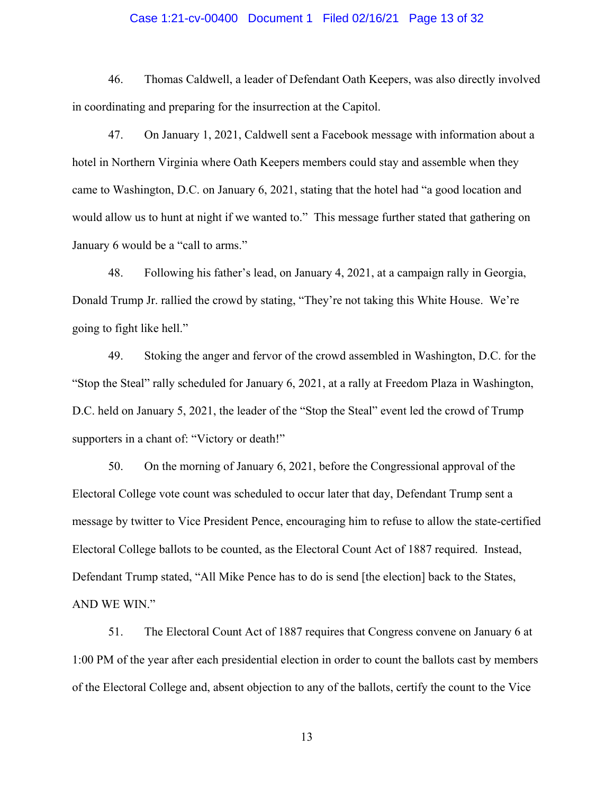## Case 1:21-cv-00400 Document 1 Filed 02/16/21 Page 13 of 32

46. Thomas Caldwell, a leader of Defendant Oath Keepers, was also directly involved in coordinating and preparing for the insurrection at the Capitol.

47. On January 1, 2021, Caldwell sent a Facebook message with information about a hotel in Northern Virginia where Oath Keepers members could stay and assemble when they came to Washington, D.C. on January 6, 2021, stating that the hotel had "a good location and would allow us to hunt at night if we wanted to." This message further stated that gathering on January 6 would be a "call to arms."

48. Following his father's lead, on January 4, 2021, at a campaign rally in Georgia, Donald Trump Jr. rallied the crowd by stating, "They're not taking this White House. We're going to fight like hell."

49. Stoking the anger and fervor of the crowd assembled in Washington, D.C. for the "Stop the Steal" rally scheduled for January 6, 2021, at a rally at Freedom Plaza in Washington, D.C. held on January 5, 2021, the leader of the "Stop the Steal" event led the crowd of Trump supporters in a chant of: "Victory or death!"

50. On the morning of January 6, 2021, before the Congressional approval of the Electoral College vote count was scheduled to occur later that day, Defendant Trump sent a message by twitter to Vice President Pence, encouraging him to refuse to allow the state-certified Electoral College ballots to be counted, as the Electoral Count Act of 1887 required. Instead, Defendant Trump stated, "All Mike Pence has to do is send [the election] back to the States, AND WE WIN."

51. The Electoral Count Act of 1887 requires that Congress convene on January 6 at 1:00 PM of the year after each presidential election in order to count the ballots cast by members of the Electoral College and, absent objection to any of the ballots, certify the count to the Vice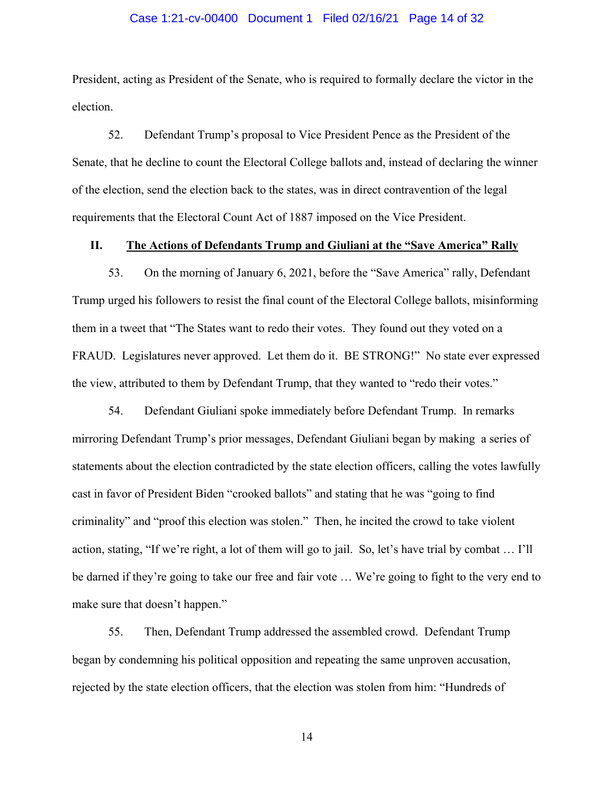#### Case 1:21-cv-00400 Document 1 Filed 02/16/21 Page 14 of 32

President, acting as President of the Senate, who is required to formally declare the victor in the election.

52. Defendant Trump's proposal to Vice President Pence as the President of the Senate, that he decline to count the Electoral College ballots and, instead of declaring the winner of the election, send the election back to the states, was in direct contravention of the legal requirements that the Electoral Count Act of 1887 imposed on the Vice President.

#### **II. The Actions of Defendants Trump and Giuliani at the "Save America" Rally**

53. On the morning of January 6, 2021, before the "Save America" rally, Defendant Trump urged his followers to resist the final count of the Electoral College ballots, misinforming them in a tweet that "The States want to redo their votes. They found out they voted on a FRAUD. Legislatures never approved. Let them do it. BE STRONG!" No state ever expressed the view, attributed to them by Defendant Trump, that they wanted to "redo their votes."

54. Defendant Giuliani spoke immediately before Defendant Trump. In remarks mirroring Defendant Trump's prior messages, Defendant Giuliani began by making a series of statements about the election contradicted by the state election officers, calling the votes lawfully cast in favor of President Biden "crooked ballots" and stating that he was "going to find criminality" and "proof this election was stolen." Then, he incited the crowd to take violent action, stating, "If we're right, a lot of them will go to jail. So, let's have trial by combat … I'll be darned if they're going to take our free and fair vote … We're going to fight to the very end to make sure that doesn't happen."

55. Then, Defendant Trump addressed the assembled crowd. Defendant Trump began by condemning his political opposition and repeating the same unproven accusation, rejected by the state election officers, that the election was stolen from him: "Hundreds of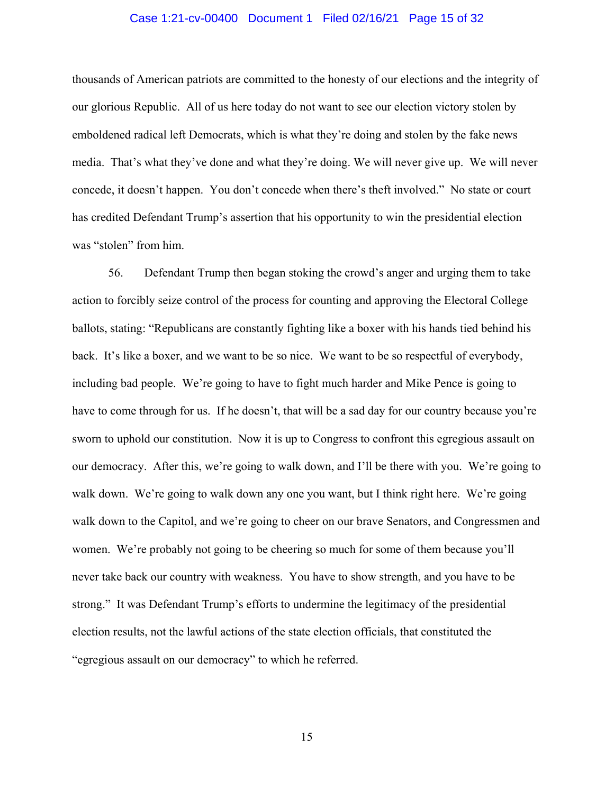## Case 1:21-cv-00400 Document 1 Filed 02/16/21 Page 15 of 32

thousands of American patriots are committed to the honesty of our elections and the integrity of our glorious Republic. All of us here today do not want to see our election victory stolen by emboldened radical left Democrats, which is what they're doing and stolen by the fake news media. That's what they've done and what they're doing. We will never give up. We will never concede, it doesn't happen. You don't concede when there's theft involved." No state or court has credited Defendant Trump's assertion that his opportunity to win the presidential election was "stolen" from him.

56. Defendant Trump then began stoking the crowd's anger and urging them to take action to forcibly seize control of the process for counting and approving the Electoral College ballots, stating: "Republicans are constantly fighting like a boxer with his hands tied behind his back. It's like a boxer, and we want to be so nice. We want to be so respectful of everybody, including bad people. We're going to have to fight much harder and Mike Pence is going to have to come through for us. If he doesn't, that will be a sad day for our country because you're sworn to uphold our constitution. Now it is up to Congress to confront this egregious assault on our democracy. After this, we're going to walk down, and I'll be there with you. We're going to walk down. We're going to walk down any one you want, but I think right here. We're going walk down to the Capitol, and we're going to cheer on our brave Senators, and Congressmen and women. We're probably not going to be cheering so much for some of them because you'll never take back our country with weakness. You have to show strength, and you have to be strong." It was Defendant Trump's efforts to undermine the legitimacy of the presidential election results, not the lawful actions of the state election officials, that constituted the "egregious assault on our democracy" to which he referred.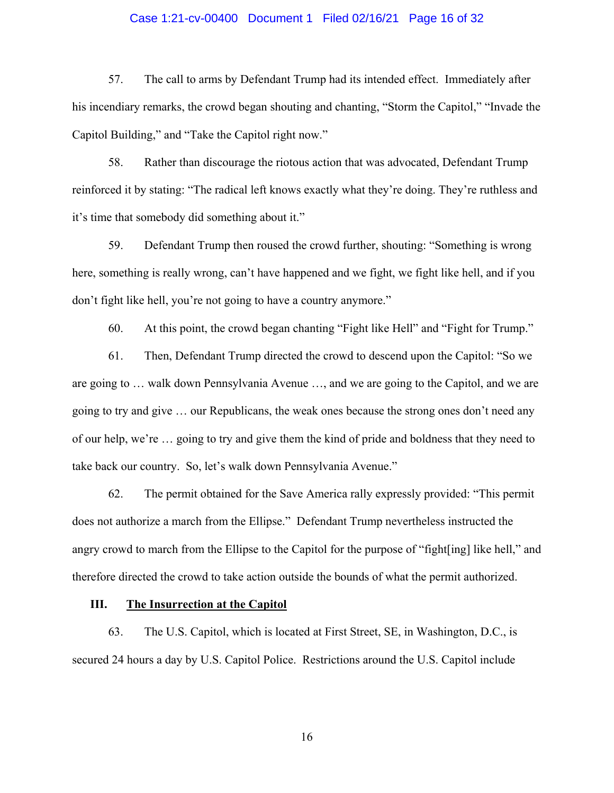## Case 1:21-cv-00400 Document 1 Filed 02/16/21 Page 16 of 32

57. The call to arms by Defendant Trump had its intended effect. Immediately after his incendiary remarks, the crowd began shouting and chanting, "Storm the Capitol," "Invade the Capitol Building," and "Take the Capitol right now."

58. Rather than discourage the riotous action that was advocated, Defendant Trump reinforced it by stating: "The radical left knows exactly what they're doing. They're ruthless and it's time that somebody did something about it."

59. Defendant Trump then roused the crowd further, shouting: "Something is wrong here, something is really wrong, can't have happened and we fight, we fight like hell, and if you don't fight like hell, you're not going to have a country anymore."

60. At this point, the crowd began chanting "Fight like Hell" and "Fight for Trump."

61. Then, Defendant Trump directed the crowd to descend upon the Capitol: "So we are going to … walk down Pennsylvania Avenue …, and we are going to the Capitol, and we are going to try and give … our Republicans, the weak ones because the strong ones don't need any of our help, we're … going to try and give them the kind of pride and boldness that they need to take back our country. So, let's walk down Pennsylvania Avenue."

62. The permit obtained for the Save America rally expressly provided: "This permit does not authorize a march from the Ellipse." Defendant Trump nevertheless instructed the angry crowd to march from the Ellipse to the Capitol for the purpose of "fight[ing] like hell," and therefore directed the crowd to take action outside the bounds of what the permit authorized.

## **III. The Insurrection at the Capitol**

63. The U.S. Capitol, which is located at First Street, SE, in Washington, D.C., is secured 24 hours a day by U.S. Capitol Police. Restrictions around the U.S. Capitol include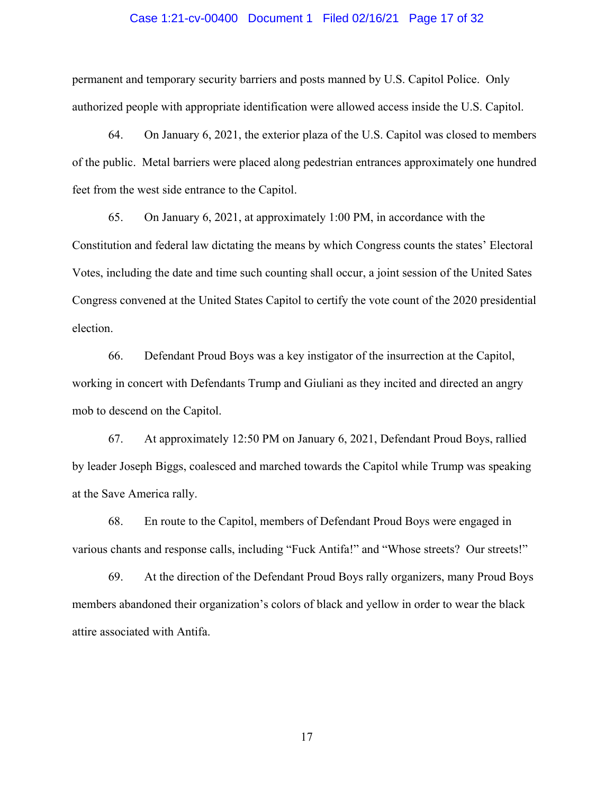#### Case 1:21-cv-00400 Document 1 Filed 02/16/21 Page 17 of 32

permanent and temporary security barriers and posts manned by U.S. Capitol Police. Only authorized people with appropriate identification were allowed access inside the U.S. Capitol.

64. On January 6, 2021, the exterior plaza of the U.S. Capitol was closed to members of the public. Metal barriers were placed along pedestrian entrances approximately one hundred feet from the west side entrance to the Capitol.

65. On January 6, 2021, at approximately 1:00 PM, in accordance with the Constitution and federal law dictating the means by which Congress counts the states' Electoral Votes, including the date and time such counting shall occur, a joint session of the United Sates Congress convened at the United States Capitol to certify the vote count of the 2020 presidential election.

66. Defendant Proud Boys was a key instigator of the insurrection at the Capitol, working in concert with Defendants Trump and Giuliani as they incited and directed an angry mob to descend on the Capitol.

67. At approximately 12:50 PM on January 6, 2021, Defendant Proud Boys, rallied by leader Joseph Biggs, coalesced and marched towards the Capitol while Trump was speaking at the Save America rally.

68. En route to the Capitol, members of Defendant Proud Boys were engaged in various chants and response calls, including "Fuck Antifa!" and "Whose streets? Our streets!"

69. At the direction of the Defendant Proud Boys rally organizers, many Proud Boys members abandoned their organization's colors of black and yellow in order to wear the black attire associated with Antifa.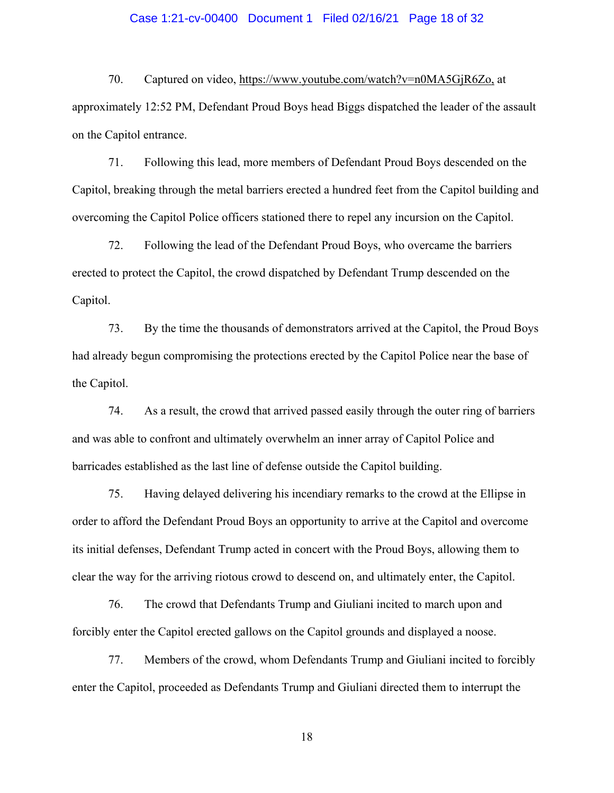## Case 1:21-cv-00400 Document 1 Filed 02/16/21 Page 18 of 32

70. Captured on video, https://www.youtube.com/watch?v=n0MA5GjR6Zo, at approximately 12:52 PM, Defendant Proud Boys head Biggs dispatched the leader of the assault on the Capitol entrance.

71. Following this lead, more members of Defendant Proud Boys descended on the Capitol, breaking through the metal barriers erected a hundred feet from the Capitol building and overcoming the Capitol Police officers stationed there to repel any incursion on the Capitol.

72. Following the lead of the Defendant Proud Boys, who overcame the barriers erected to protect the Capitol, the crowd dispatched by Defendant Trump descended on the Capitol.

73. By the time the thousands of demonstrators arrived at the Capitol, the Proud Boys had already begun compromising the protections erected by the Capitol Police near the base of the Capitol.

74. As a result, the crowd that arrived passed easily through the outer ring of barriers and was able to confront and ultimately overwhelm an inner array of Capitol Police and barricades established as the last line of defense outside the Capitol building.

75. Having delayed delivering his incendiary remarks to the crowd at the Ellipse in order to afford the Defendant Proud Boys an opportunity to arrive at the Capitol and overcome its initial defenses, Defendant Trump acted in concert with the Proud Boys, allowing them to clear the way for the arriving riotous crowd to descend on, and ultimately enter, the Capitol.

76. The crowd that Defendants Trump and Giuliani incited to march upon and forcibly enter the Capitol erected gallows on the Capitol grounds and displayed a noose.

77. Members of the crowd, whom Defendants Trump and Giuliani incited to forcibly enter the Capitol, proceeded as Defendants Trump and Giuliani directed them to interrupt the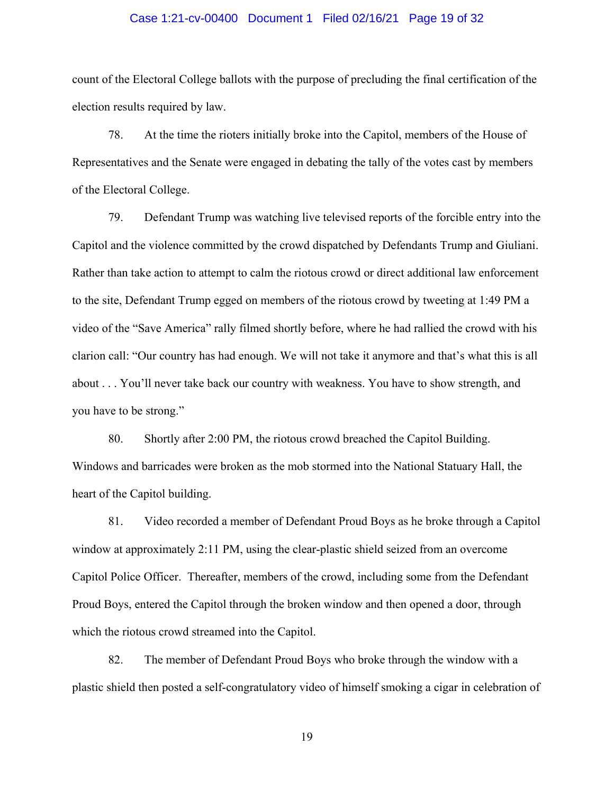#### Case 1:21-cv-00400 Document 1 Filed 02/16/21 Page 19 of 32

count of the Electoral College ballots with the purpose of precluding the final certification of the election results required by law.

78. At the time the rioters initially broke into the Capitol, members of the House of Representatives and the Senate were engaged in debating the tally of the votes cast by members of the Electoral College.

79. Defendant Trump was watching live televised reports of the forcible entry into the Capitol and the violence committed by the crowd dispatched by Defendants Trump and Giuliani. Rather than take action to attempt to calm the riotous crowd or direct additional law enforcement to the site, Defendant Trump egged on members of the riotous crowd by tweeting at 1:49 PM a video of the "Save America" rally filmed shortly before, where he had rallied the crowd with his clarion call: "Our country has had enough. We will not take it anymore and that's what this is all about . . . You'll never take back our country with weakness. You have to show strength, and you have to be strong."

80. Shortly after 2:00 PM, the riotous crowd breached the Capitol Building. Windows and barricades were broken as the mob stormed into the National Statuary Hall, the heart of the Capitol building.

81. Video recorded a member of Defendant Proud Boys as he broke through a Capitol window at approximately 2:11 PM, using the clear-plastic shield seized from an overcome Capitol Police Officer. Thereafter, members of the crowd, including some from the Defendant Proud Boys, entered the Capitol through the broken window and then opened a door, through which the riotous crowd streamed into the Capitol.

82. The member of Defendant Proud Boys who broke through the window with a plastic shield then posted a self-congratulatory video of himself smoking a cigar in celebration of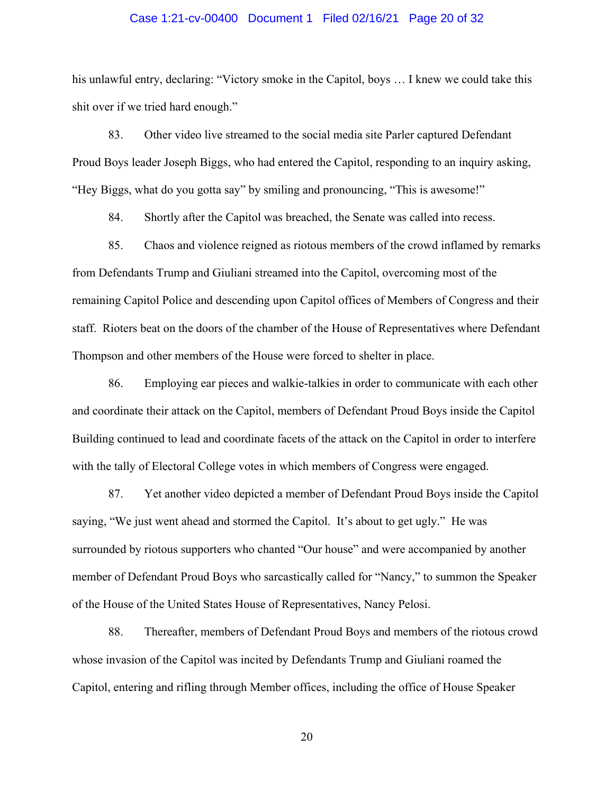#### Case 1:21-cv-00400 Document 1 Filed 02/16/21 Page 20 of 32

his unlawful entry, declaring: "Victory smoke in the Capitol, boys ... I knew we could take this shit over if we tried hard enough."

83. Other video live streamed to the social media site Parler captured Defendant Proud Boys leader Joseph Biggs, who had entered the Capitol, responding to an inquiry asking, "Hey Biggs, what do you gotta say" by smiling and pronouncing, "This is awesome!"

84. Shortly after the Capitol was breached, the Senate was called into recess.

85. Chaos and violence reigned as riotous members of the crowd inflamed by remarks from Defendants Trump and Giuliani streamed into the Capitol, overcoming most of the remaining Capitol Police and descending upon Capitol offices of Members of Congress and their staff. Rioters beat on the doors of the chamber of the House of Representatives where Defendant Thompson and other members of the House were forced to shelter in place.

86. Employing ear pieces and walkie-talkies in order to communicate with each other and coordinate their attack on the Capitol, members of Defendant Proud Boys inside the Capitol Building continued to lead and coordinate facets of the attack on the Capitol in order to interfere with the tally of Electoral College votes in which members of Congress were engaged.

87. Yet another video depicted a member of Defendant Proud Boys inside the Capitol saying, "We just went ahead and stormed the Capitol. It's about to get ugly." He was surrounded by riotous supporters who chanted "Our house" and were accompanied by another member of Defendant Proud Boys who sarcastically called for "Nancy," to summon the Speaker of the House of the United States House of Representatives, Nancy Pelosi.

88. Thereafter, members of Defendant Proud Boys and members of the riotous crowd whose invasion of the Capitol was incited by Defendants Trump and Giuliani roamed the Capitol, entering and rifling through Member offices, including the office of House Speaker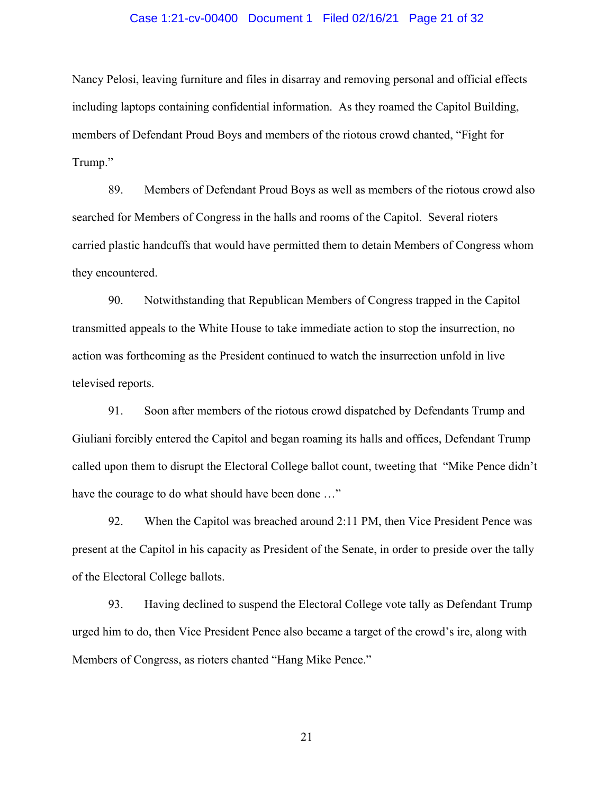#### Case 1:21-cv-00400 Document 1 Filed 02/16/21 Page 21 of 32

Nancy Pelosi, leaving furniture and files in disarray and removing personal and official effects including laptops containing confidential information. As they roamed the Capitol Building, members of Defendant Proud Boys and members of the riotous crowd chanted, "Fight for Trump."

89. Members of Defendant Proud Boys as well as members of the riotous crowd also searched for Members of Congress in the halls and rooms of the Capitol. Several rioters carried plastic handcuffs that would have permitted them to detain Members of Congress whom they encountered.

90. Notwithstanding that Republican Members of Congress trapped in the Capitol transmitted appeals to the White House to take immediate action to stop the insurrection, no action was forthcoming as the President continued to watch the insurrection unfold in live televised reports.

91. Soon after members of the riotous crowd dispatched by Defendants Trump and Giuliani forcibly entered the Capitol and began roaming its halls and offices, Defendant Trump called upon them to disrupt the Electoral College ballot count, tweeting that "Mike Pence didn't have the courage to do what should have been done …"

92. When the Capitol was breached around 2:11 PM, then Vice President Pence was present at the Capitol in his capacity as President of the Senate, in order to preside over the tally of the Electoral College ballots.

93. Having declined to suspend the Electoral College vote tally as Defendant Trump urged him to do, then Vice President Pence also became a target of the crowd's ire, along with Members of Congress, as rioters chanted "Hang Mike Pence."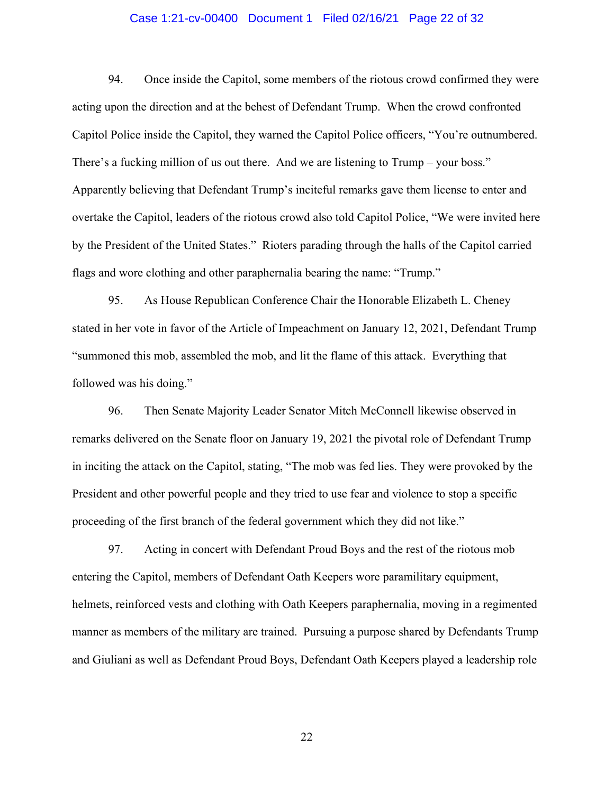## Case 1:21-cv-00400 Document 1 Filed 02/16/21 Page 22 of 32

94. Once inside the Capitol, some members of the riotous crowd confirmed they were acting upon the direction and at the behest of Defendant Trump. When the crowd confronted Capitol Police inside the Capitol, they warned the Capitol Police officers, "You're outnumbered. There's a fucking million of us out there. And we are listening to Trump – your boss." Apparently believing that Defendant Trump's inciteful remarks gave them license to enter and overtake the Capitol, leaders of the riotous crowd also told Capitol Police, "We were invited here by the President of the United States." Rioters parading through the halls of the Capitol carried flags and wore clothing and other paraphernalia bearing the name: "Trump."

95. As House Republican Conference Chair the Honorable Elizabeth L. Cheney stated in her vote in favor of the Article of Impeachment on January 12, 2021, Defendant Trump "summoned this mob, assembled the mob, and lit the flame of this attack. Everything that followed was his doing."

96. Then Senate Majority Leader Senator Mitch McConnell likewise observed in remarks delivered on the Senate floor on January 19, 2021 the pivotal role of Defendant Trump in inciting the attack on the Capitol, stating, "The mob was fed lies. They were provoked by the President and other powerful people and they tried to use fear and violence to stop a specific proceeding of the first branch of the federal government which they did not like."

97. Acting in concert with Defendant Proud Boys and the rest of the riotous mob entering the Capitol, members of Defendant Oath Keepers wore paramilitary equipment, helmets, reinforced vests and clothing with Oath Keepers paraphernalia, moving in a regimented manner as members of the military are trained. Pursuing a purpose shared by Defendants Trump and Giuliani as well as Defendant Proud Boys, Defendant Oath Keepers played a leadership role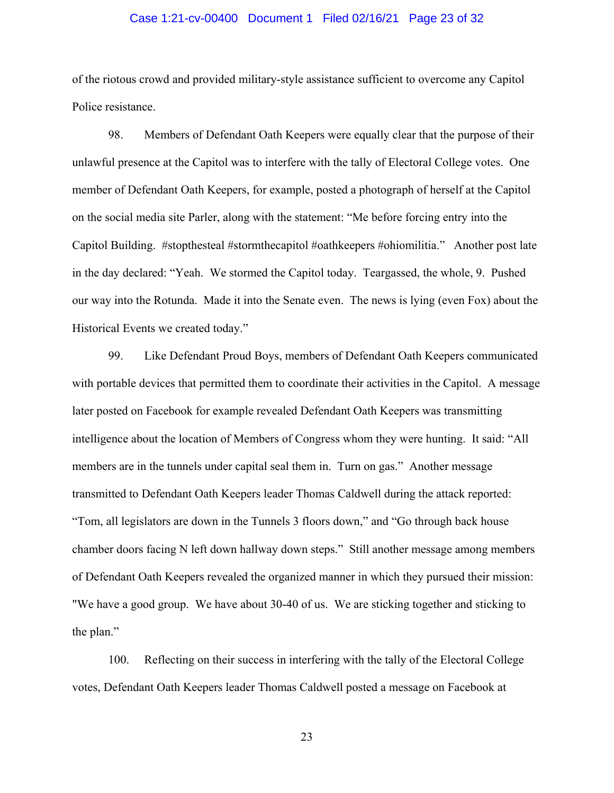## Case 1:21-cv-00400 Document 1 Filed 02/16/21 Page 23 of 32

of the riotous crowd and provided military-style assistance sufficient to overcome any Capitol Police resistance.

98. Members of Defendant Oath Keepers were equally clear that the purpose of their unlawful presence at the Capitol was to interfere with the tally of Electoral College votes. One member of Defendant Oath Keepers, for example, posted a photograph of herself at the Capitol on the social media site Parler, along with the statement: "Me before forcing entry into the Capitol Building. #stopthesteal #stormthecapitol #oathkeepers #ohiomilitia." Another post late in the day declared: "Yeah. We stormed the Capitol today. Teargassed, the whole, 9. Pushed our way into the Rotunda. Made it into the Senate even. The news is lying (even Fox) about the Historical Events we created today."

99. Like Defendant Proud Boys, members of Defendant Oath Keepers communicated with portable devices that permitted them to coordinate their activities in the Capitol. A message later posted on Facebook for example revealed Defendant Oath Keepers was transmitting intelligence about the location of Members of Congress whom they were hunting. It said: "All members are in the tunnels under capital seal them in. Turn on gas." Another message transmitted to Defendant Oath Keepers leader Thomas Caldwell during the attack reported: "Tom, all legislators are down in the Tunnels 3 floors down," and "Go through back house chamber doors facing N left down hallway down steps." Still another message among members of Defendant Oath Keepers revealed the organized manner in which they pursued their mission: "We have a good group. We have about 30-40 of us. We are sticking together and sticking to the plan."

100. Reflecting on their success in interfering with the tally of the Electoral College votes, Defendant Oath Keepers leader Thomas Caldwell posted a message on Facebook at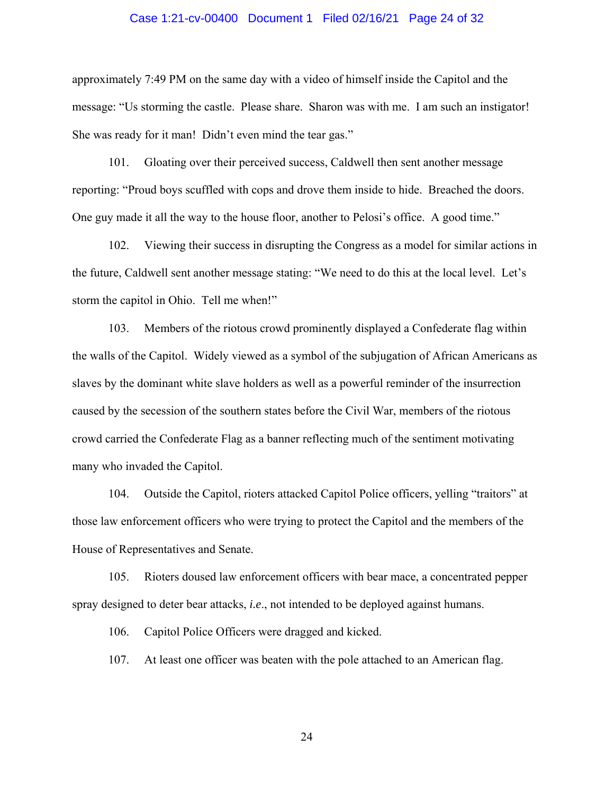#### Case 1:21-cv-00400 Document 1 Filed 02/16/21 Page 24 of 32

approximately 7:49 PM on the same day with a video of himself inside the Capitol and the message: "Us storming the castle. Please share. Sharon was with me. I am such an instigator! She was ready for it man! Didn't even mind the tear gas."

101. Gloating over their perceived success, Caldwell then sent another message reporting: "Proud boys scuffled with cops and drove them inside to hide. Breached the doors. One guy made it all the way to the house floor, another to Pelosi's office. A good time."

102. Viewing their success in disrupting the Congress as a model for similar actions in the future, Caldwell sent another message stating: "We need to do this at the local level. Let's storm the capitol in Ohio. Tell me when!"

103. Members of the riotous crowd prominently displayed a Confederate flag within the walls of the Capitol. Widely viewed as a symbol of the subjugation of African Americans as slaves by the dominant white slave holders as well as a powerful reminder of the insurrection caused by the secession of the southern states before the Civil War, members of the riotous crowd carried the Confederate Flag as a banner reflecting much of the sentiment motivating many who invaded the Capitol.

104. Outside the Capitol, rioters attacked Capitol Police officers, yelling "traitors" at those law enforcement officers who were trying to protect the Capitol and the members of the House of Representatives and Senate.

105. Rioters doused law enforcement officers with bear mace, a concentrated pepper spray designed to deter bear attacks, *i.e*., not intended to be deployed against humans.

106. Capitol Police Officers were dragged and kicked.

107. At least one officer was beaten with the pole attached to an American flag.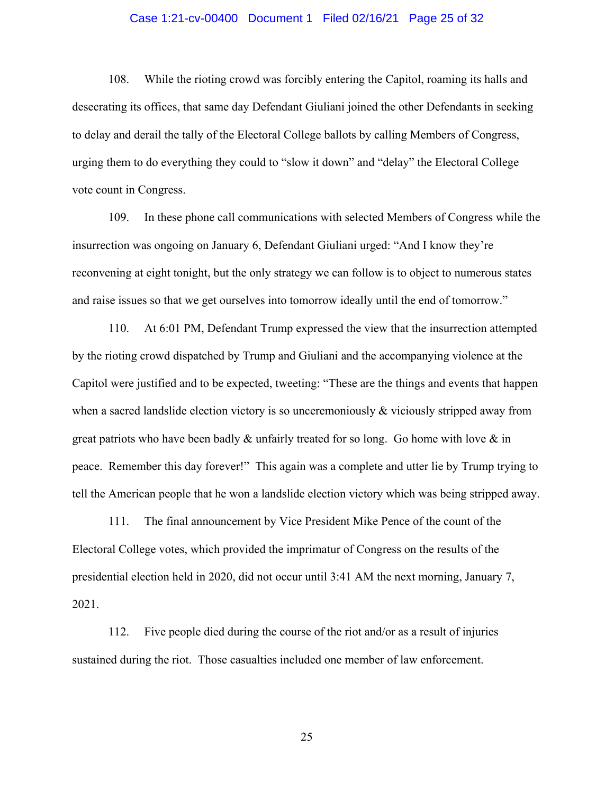## Case 1:21-cv-00400 Document 1 Filed 02/16/21 Page 25 of 32

108. While the rioting crowd was forcibly entering the Capitol, roaming its halls and desecrating its offices, that same day Defendant Giuliani joined the other Defendants in seeking to delay and derail the tally of the Electoral College ballots by calling Members of Congress, urging them to do everything they could to "slow it down" and "delay" the Electoral College vote count in Congress.

109. In these phone call communications with selected Members of Congress while the insurrection was ongoing on January 6, Defendant Giuliani urged: "And I know they're reconvening at eight tonight, but the only strategy we can follow is to object to numerous states and raise issues so that we get ourselves into tomorrow ideally until the end of tomorrow."

110. At 6:01 PM, Defendant Trump expressed the view that the insurrection attempted by the rioting crowd dispatched by Trump and Giuliani and the accompanying violence at the Capitol were justified and to be expected, tweeting: "These are the things and events that happen when a sacred landslide election victory is so unceremoniously  $\&$  viciously stripped away from great patriots who have been badly  $\&$  unfairly treated for so long. Go home with love  $\&$  in peace. Remember this day forever!" This again was a complete and utter lie by Trump trying to tell the American people that he won a landslide election victory which was being stripped away.

111. The final announcement by Vice President Mike Pence of the count of the Electoral College votes, which provided the imprimatur of Congress on the results of the presidential election held in 2020, did not occur until 3:41 AM the next morning, January 7, 2021.

112. Five people died during the course of the riot and/or as a result of injuries sustained during the riot. Those casualties included one member of law enforcement.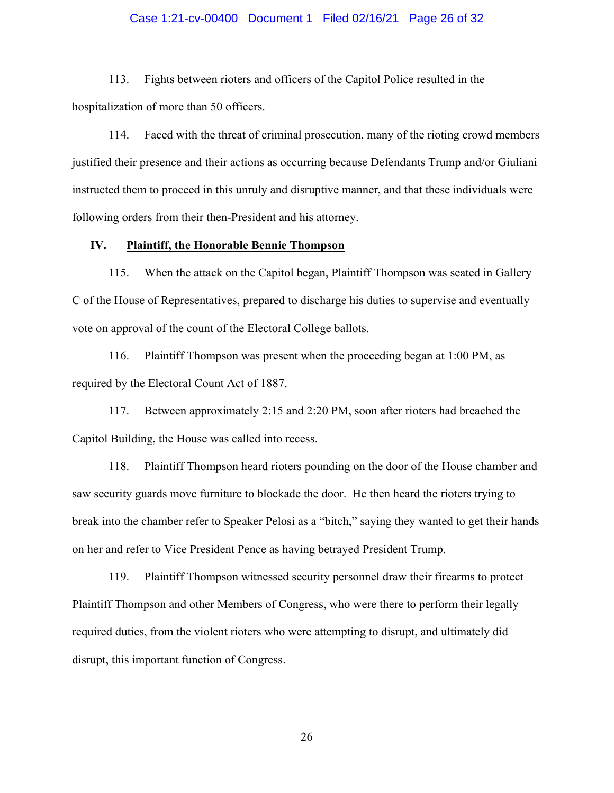### Case 1:21-cv-00400 Document 1 Filed 02/16/21 Page 26 of 32

113. Fights between rioters and officers of the Capitol Police resulted in the hospitalization of more than 50 officers.

114. Faced with the threat of criminal prosecution, many of the rioting crowd members justified their presence and their actions as occurring because Defendants Trump and/or Giuliani instructed them to proceed in this unruly and disruptive manner, and that these individuals were following orders from their then-President and his attorney.

#### **IV. Plaintiff, the Honorable Bennie Thompson**

115. When the attack on the Capitol began, Plaintiff Thompson was seated in Gallery C of the House of Representatives, prepared to discharge his duties to supervise and eventually vote on approval of the count of the Electoral College ballots.

116. Plaintiff Thompson was present when the proceeding began at 1:00 PM, as required by the Electoral Count Act of 1887.

117. Between approximately 2:15 and 2:20 PM, soon after rioters had breached the Capitol Building, the House was called into recess.

118. Plaintiff Thompson heard rioters pounding on the door of the House chamber and saw security guards move furniture to blockade the door. He then heard the rioters trying to break into the chamber refer to Speaker Pelosi as a "bitch," saying they wanted to get their hands on her and refer to Vice President Pence as having betrayed President Trump.

119. Plaintiff Thompson witnessed security personnel draw their firearms to protect Plaintiff Thompson and other Members of Congress, who were there to perform their legally required duties, from the violent rioters who were attempting to disrupt, and ultimately did disrupt, this important function of Congress.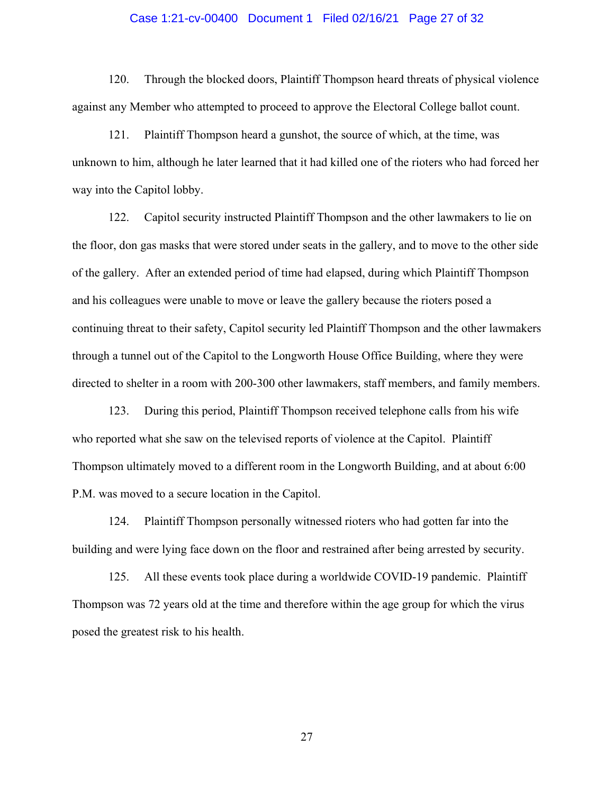#### Case 1:21-cv-00400 Document 1 Filed 02/16/21 Page 27 of 32

120. Through the blocked doors, Plaintiff Thompson heard threats of physical violence against any Member who attempted to proceed to approve the Electoral College ballot count.

121. Plaintiff Thompson heard a gunshot, the source of which, at the time, was unknown to him, although he later learned that it had killed one of the rioters who had forced her way into the Capitol lobby.

122. Capitol security instructed Plaintiff Thompson and the other lawmakers to lie on the floor, don gas masks that were stored under seats in the gallery, and to move to the other side of the gallery. After an extended period of time had elapsed, during which Plaintiff Thompson and his colleagues were unable to move or leave the gallery because the rioters posed a continuing threat to their safety, Capitol security led Plaintiff Thompson and the other lawmakers through a tunnel out of the Capitol to the Longworth House Office Building, where they were directed to shelter in a room with 200-300 other lawmakers, staff members, and family members.

123. During this period, Plaintiff Thompson received telephone calls from his wife who reported what she saw on the televised reports of violence at the Capitol. Plaintiff Thompson ultimately moved to a different room in the Longworth Building, and at about 6:00 P.M. was moved to a secure location in the Capitol.

124. Plaintiff Thompson personally witnessed rioters who had gotten far into the building and were lying face down on the floor and restrained after being arrested by security.

125. All these events took place during a worldwide COVID-19 pandemic. Plaintiff Thompson was 72 years old at the time and therefore within the age group for which the virus posed the greatest risk to his health.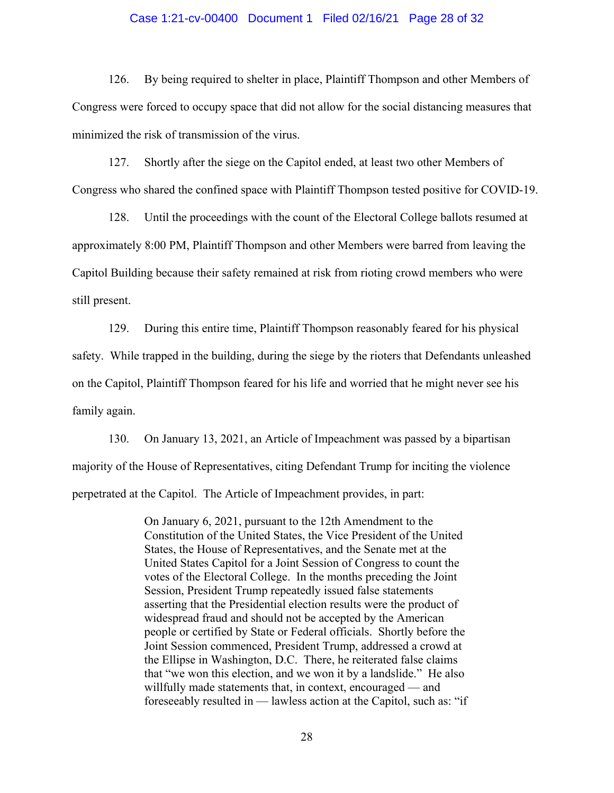## Case 1:21-cv-00400 Document 1 Filed 02/16/21 Page 28 of 32

126. By being required to shelter in place, Plaintiff Thompson and other Members of Congress were forced to occupy space that did not allow for the social distancing measures that minimized the risk of transmission of the virus.

127. Shortly after the siege on the Capitol ended, at least two other Members of Congress who shared the confined space with Plaintiff Thompson tested positive for COVID-19.

128. Until the proceedings with the count of the Electoral College ballots resumed at approximately 8:00 PM, Plaintiff Thompson and other Members were barred from leaving the Capitol Building because their safety remained at risk from rioting crowd members who were still present.

129. During this entire time, Plaintiff Thompson reasonably feared for his physical safety. While trapped in the building, during the siege by the rioters that Defendants unleashed on the Capitol, Plaintiff Thompson feared for his life and worried that he might never see his family again.

130. On January 13, 2021, an Article of Impeachment was passed by a bipartisan majority of the House of Representatives, citing Defendant Trump for inciting the violence perpetrated at the Capitol. The Article of Impeachment provides, in part:

> On January 6, 2021, pursuant to the 12th Amendment to the Constitution of the United States, the Vice President of the United States, the House of Representatives, and the Senate met at the United States Capitol for a Joint Session of Congress to count the votes of the Electoral College. In the months preceding the Joint Session, President Trump repeatedly issued false statements asserting that the Presidential election results were the product of widespread fraud and should not be accepted by the American people or certified by State or Federal officials. Shortly before the Joint Session commenced, President Trump, addressed a crowd at the Ellipse in Washington, D.C. There, he reiterated false claims that "we won this election, and we won it by a landslide." He also willfully made statements that, in context, encouraged — and foreseeably resulted in — lawless action at the Capitol, such as: "if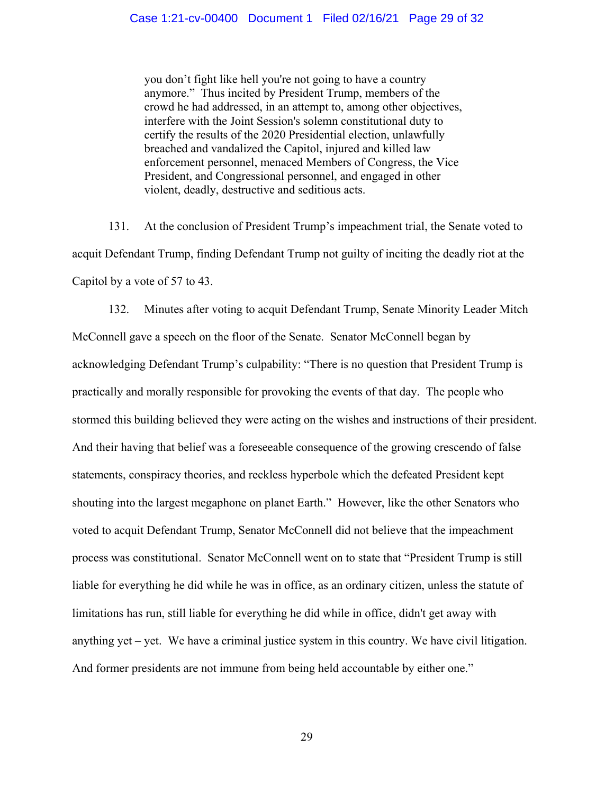you don't fight like hell you're not going to have a country anymore." Thus incited by President Trump, members of the crowd he had addressed, in an attempt to, among other objectives, interfere with the Joint Session's solemn constitutional duty to certify the results of the 2020 Presidential election, unlawfully breached and vandalized the Capitol, injured and killed law enforcement personnel, menaced Members of Congress, the Vice President, and Congressional personnel, and engaged in other violent, deadly, destructive and seditious acts.

131. At the conclusion of President Trump's impeachment trial, the Senate voted to acquit Defendant Trump, finding Defendant Trump not guilty of inciting the deadly riot at the Capitol by a vote of 57 to 43.

132. Minutes after voting to acquit Defendant Trump, Senate Minority Leader Mitch McConnell gave a speech on the floor of the Senate. Senator McConnell began by acknowledging Defendant Trump's culpability: "There is no question that President Trump is practically and morally responsible for provoking the events of that day. The people who stormed this building believed they were acting on the wishes and instructions of their president. And their having that belief was a foreseeable consequence of the growing crescendo of false statements, conspiracy theories, and reckless hyperbole which the defeated President kept shouting into the largest megaphone on planet Earth." However, like the other Senators who voted to acquit Defendant Trump, Senator McConnell did not believe that the impeachment process was constitutional. Senator McConnell went on to state that "President Trump is still liable for everything he did while he was in office, as an ordinary citizen, unless the statute of limitations has run, still liable for everything he did while in office, didn't get away with anything yet – yet. We have a criminal justice system in this country. We have civil litigation. And former presidents are not immune from being held accountable by either one."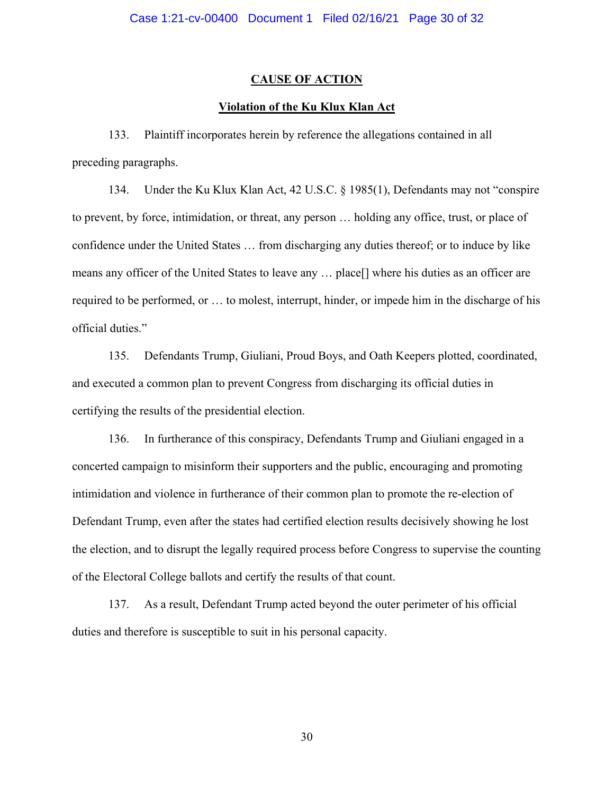#### **CAUSE OF ACTION**

# **Violation of the Ku Klux Klan Act**

133. Plaintiff incorporates herein by reference the allegations contained in all preceding paragraphs.

134. Under the Ku Klux Klan Act, 42 U.S.C. § 1985(1), Defendants may not "conspire to prevent, by force, intimidation, or threat, any person … holding any office, trust, or place of confidence under the United States … from discharging any duties thereof; or to induce by like means any officer of the United States to leave any … place[] where his duties as an officer are required to be performed, or … to molest, interrupt, hinder, or impede him in the discharge of his official duties."

135. Defendants Trump, Giuliani, Proud Boys, and Oath Keepers plotted, coordinated, and executed a common plan to prevent Congress from discharging its official duties in certifying the results of the presidential election.

136. In furtherance of this conspiracy, Defendants Trump and Giuliani engaged in a concerted campaign to misinform their supporters and the public, encouraging and promoting intimidation and violence in furtherance of their common plan to promote the re-election of Defendant Trump, even after the states had certified election results decisively showing he lost the election, and to disrupt the legally required process before Congress to supervise the counting of the Electoral College ballots and certify the results of that count.

137. As a result, Defendant Trump acted beyond the outer perimeter of his official duties and therefore is susceptible to suit in his personal capacity.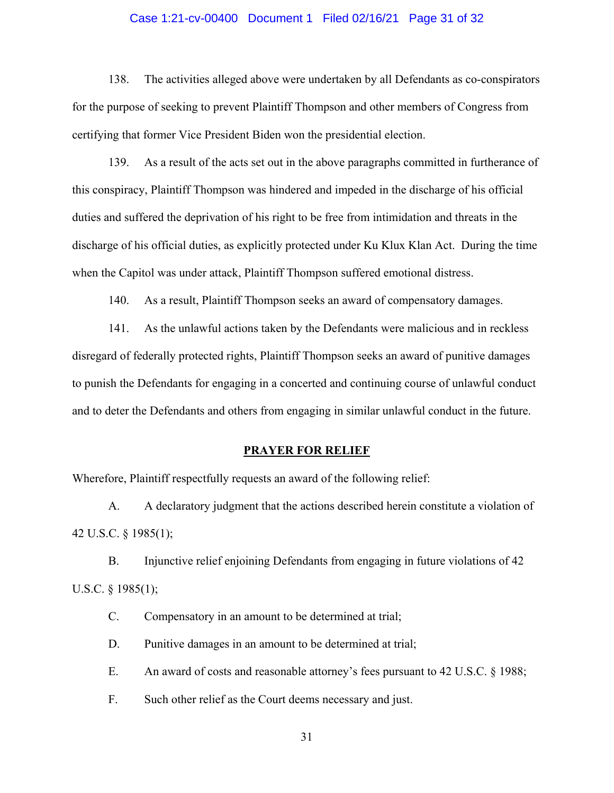## Case 1:21-cv-00400 Document 1 Filed 02/16/21 Page 31 of 32

138. The activities alleged above were undertaken by all Defendants as co-conspirators for the purpose of seeking to prevent Plaintiff Thompson and other members of Congress from certifying that former Vice President Biden won the presidential election.

139. As a result of the acts set out in the above paragraphs committed in furtherance of this conspiracy, Plaintiff Thompson was hindered and impeded in the discharge of his official duties and suffered the deprivation of his right to be free from intimidation and threats in the discharge of his official duties, as explicitly protected under Ku Klux Klan Act. During the time when the Capitol was under attack, Plaintiff Thompson suffered emotional distress.

140. As a result, Plaintiff Thompson seeks an award of compensatory damages.

141. As the unlawful actions taken by the Defendants were malicious and in reckless disregard of federally protected rights, Plaintiff Thompson seeks an award of punitive damages to punish the Defendants for engaging in a concerted and continuing course of unlawful conduct and to deter the Defendants and others from engaging in similar unlawful conduct in the future.

## **PRAYER FOR RELIEF**

Wherefore, Plaintiff respectfully requests an award of the following relief:

A. A declaratory judgment that the actions described herein constitute a violation of 42 U.S.C. § 1985(1);

B. Injunctive relief enjoining Defendants from engaging in future violations of 42 U.S.C. § 1985(1);

C. Compensatory in an amount to be determined at trial;

D. Punitive damages in an amount to be determined at trial;

E. An award of costs and reasonable attorney's fees pursuant to 42 U.S.C. § 1988;

F. Such other relief as the Court deems necessary and just.